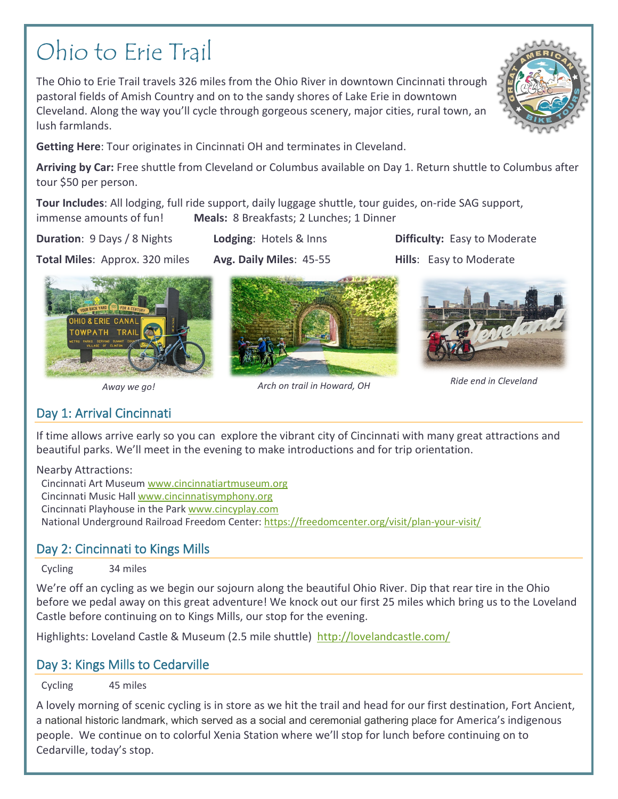# Ohio to Erie Trail

The Ohio to Erie Trail travels 326 miles from the Ohio River in downtown Cincinnati through pastoral fields of Amish Country and on to the sandy shores of Lake Erie in downtown Cleveland. Along the way you'll cycle through gorgeous scenery, major cities, rural town, an lush farmlands.



**Arriving by Car:** Free shuttle from Cleveland or Columbus available on Day 1. Return shuttle to Columbus after tour \$50 per person.

**Tour Includes**: All lodging, full ride support, daily luggage shuttle, tour guides, on-ride SAG support, immense amounts of fun! **Meals:** 8 Breakfasts; 2 Lunches; 1 Dinner

**HO & ERIE CANA** OWPATH TRAIL

**Duration**: 9 Days / 8 Nights. **Lodging**: Hotels & Inns **Difficulty:** Easy to Moderate







## *Away we go! Arch on trail in Howard, OH Ride end in Cleveland*

# Day 1: Arrival Cincinnati

If time allows arrive early so you can explore the vibrant city of Cincinnati with many great attractions and beautiful parks. We'll meet in the evening to make introductions and for trip orientation.

Nearby Attractions:

Cincinnati Art Museum [www.cincinnatiartmuseum.org](http://www.cincinnatiartmuseum.org/) Cincinnati Music Hal[l www.cincinnatisymphony.org](http://www.cincinnatisymphony.org/) Cincinnati Playhouse in the Par[k www.cincyplay.com](http://www.cincyplay.com/) National Underground Railroad Freedom Center[: https://freedomcenter.org/visit/plan-your-visit/](https://freedomcenter.org/visit/plan-your-visit/)

# Day 2: Cincinnati to Kings Mills

Cycling 34 miles

We're off an cycling as we begin our sojourn along the beautiful Ohio River. Dip that rear tire in the Ohio before we pedal away on this great adventure! We knock out our first 25 miles which bring us to the Loveland Castle before continuing on to Kings Mills, our stop for the evening.

Highlights: Loveland Castle & Museum (2.5 mile shuttle) <http://lovelandcastle.com/>

## Day 3: Kings Mills to Cedarville

Cycling 45 miles

A lovely morning of scenic cycling is in store as we hit the trail and head for our first destination, Fort Ancient, a national historic landmark, which served as a social and ceremonial gathering place for America's indigenous people. We continue on to colorful Xenia Station where we'll stop for lunch before continuing on to Cedarville, today's stop.